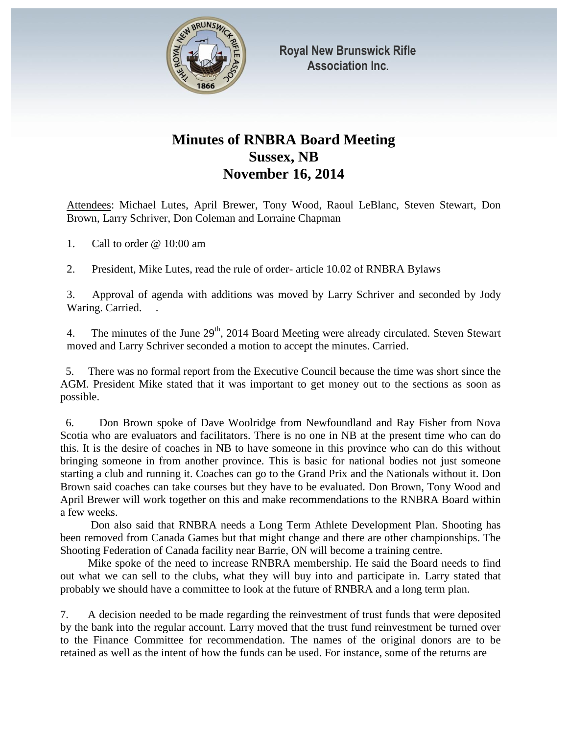

## **Minutes of RNBRA Board Meeting Sussex, NB November 16, 2014**

Attendees: Michael Lutes, April Brewer, Tony Wood, Raoul LeBlanc, Steven Stewart, Don Brown, Larry Schriver, Don Coleman and Lorraine Chapman

1. Call to order @ 10:00 am

2. President, Mike Lutes, read the rule of order- article 10.02 of RNBRA Bylaws

3. Approval of agenda with additions was moved by Larry Schriver and seconded by Jody Waring. Carried.

4. The minutes of the June  $29<sup>th</sup>$ , 2014 Board Meeting were already circulated. Steven Stewart moved and Larry Schriver seconded a motion to accept the minutes. Carried.

 5. There was no formal report from the Executive Council because the time was short since the AGM. President Mike stated that it was important to get money out to the sections as soon as possible.

 6. Don Brown spoke of Dave Woolridge from Newfoundland and Ray Fisher from Nova Scotia who are evaluators and facilitators. There is no one in NB at the present time who can do this. It is the desire of coaches in NB to have someone in this province who can do this without bringing someone in from another province. This is basic for national bodies not just someone starting a club and running it. Coaches can go to the Grand Prix and the Nationals without it. Don Brown said coaches can take courses but they have to be evaluated. Don Brown, Tony Wood and April Brewer will work together on this and make recommendations to the RNBRA Board within a few weeks.

 Don also said that RNBRA needs a Long Term Athlete Development Plan. Shooting has been removed from Canada Games but that might change and there are other championships. The Shooting Federation of Canada facility near Barrie, ON will become a training centre.

 Mike spoke of the need to increase RNBRA membership. He said the Board needs to find out what we can sell to the clubs, what they will buy into and participate in. Larry stated that probably we should have a committee to look at the future of RNBRA and a long term plan.

7. A decision needed to be made regarding the reinvestment of trust funds that were deposited by the bank into the regular account. Larry moved that the trust fund reinvestment be turned over to the Finance Committee for recommendation. The names of the original donors are to be retained as well as the intent of how the funds can be used. For instance, some of the returns are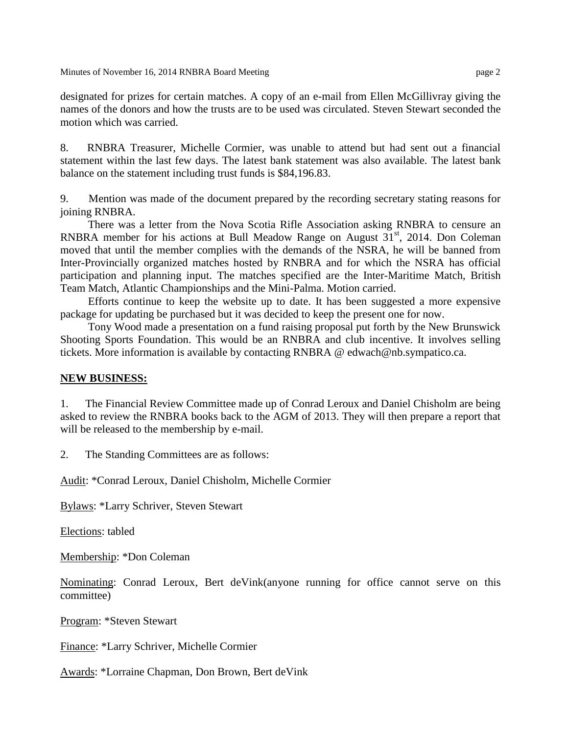Minutes of November 16, 2014 RNBRA Board Meeting page 2

designated for prizes for certain matches. A copy of an e-mail from Ellen McGillivray giving the names of the donors and how the trusts are to be used was circulated. Steven Stewart seconded the motion which was carried.

8. RNBRA Treasurer, Michelle Cormier, was unable to attend but had sent out a financial statement within the last few days. The latest bank statement was also available. The latest bank balance on the statement including trust funds is \$84,196.83.

9. Mention was made of the document prepared by the recording secretary stating reasons for joining RNBRA.

 There was a letter from the Nova Scotia Rifle Association asking RNBRA to censure an RNBRA member for his actions at Bull Meadow Range on August  $31<sup>st</sup>$ , 2014. Don Coleman moved that until the member complies with the demands of the NSRA, he will be banned from Inter-Provincially organized matches hosted by RNBRA and for which the NSRA has official participation and planning input. The matches specified are the Inter-Maritime Match, British Team Match, Atlantic Championships and the Mini-Palma. Motion carried.

 Efforts continue to keep the website up to date. It has been suggested a more expensive package for updating be purchased but it was decided to keep the present one for now.

 Tony Wood made a presentation on a fund raising proposal put forth by the New Brunswick Shooting Sports Foundation. This would be an RNBRA and club incentive. It involves selling tickets. More information is available by contacting RNBRA @ edwach@nb.sympatico.ca.

## **NEW BUSINESS:**

1. The Financial Review Committee made up of Conrad Leroux and Daniel Chisholm are being asked to review the RNBRA books back to the AGM of 2013. They will then prepare a report that will be released to the membership by e-mail.

2. The Standing Committees are as follows:

Audit: \*Conrad Leroux, Daniel Chisholm, Michelle Cormier

Bylaws: \*Larry Schriver, Steven Stewart

Elections: tabled

Membership: \*Don Coleman

Nominating: Conrad Leroux, Bert deVink(anyone running for office cannot serve on this committee)

Program: \*Steven Stewart

Finance: \*Larry Schriver, Michelle Cormier

Awards: \*Lorraine Chapman, Don Brown, Bert deVink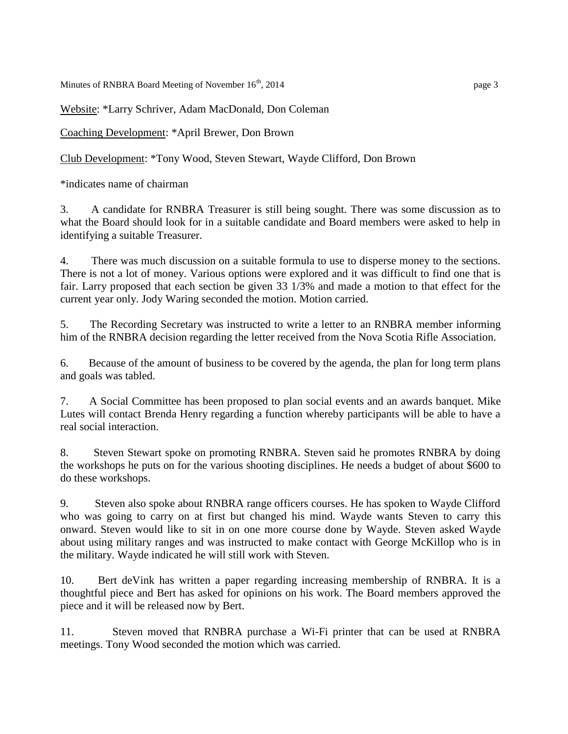Minutes of RNBRA Board Meeting of November  $16<sup>th</sup>$ , 2014 page 3

Website: \*Larry Schriver, Adam MacDonald, Don Coleman

Coaching Development: \*April Brewer, Don Brown

Club Development: \*Tony Wood, Steven Stewart, Wayde Clifford, Don Brown

\*indicates name of chairman

3. A candidate for RNBRA Treasurer is still being sought. There was some discussion as to what the Board should look for in a suitable candidate and Board members were asked to help in identifying a suitable Treasurer.

4. There was much discussion on a suitable formula to use to disperse money to the sections. There is not a lot of money. Various options were explored and it was difficult to find one that is fair. Larry proposed that each section be given 33 1/3% and made a motion to that effect for the current year only. Jody Waring seconded the motion. Motion carried.

5. The Recording Secretary was instructed to write a letter to an RNBRA member informing him of the RNBRA decision regarding the letter received from the Nova Scotia Rifle Association.

6. Because of the amount of business to be covered by the agenda, the plan for long term plans and goals was tabled.

7. A Social Committee has been proposed to plan social events and an awards banquet. Mike Lutes will contact Brenda Henry regarding a function whereby participants will be able to have a real social interaction.

8. Steven Stewart spoke on promoting RNBRA. Steven said he promotes RNBRA by doing the workshops he puts on for the various shooting disciplines. He needs a budget of about \$600 to do these workshops.

9. Steven also spoke about RNBRA range officers courses. He has spoken to Wayde Clifford who was going to carry on at first but changed his mind. Wayde wants Steven to carry this onward. Steven would like to sit in on one more course done by Wayde. Steven asked Wayde about using military ranges and was instructed to make contact with George McKillop who is in the military. Wayde indicated he will still work with Steven.

10. Bert deVink has written a paper regarding increasing membership of RNBRA. It is a thoughtful piece and Bert has asked for opinions on his work. The Board members approved the piece and it will be released now by Bert.

11. Steven moved that RNBRA purchase a Wi-Fi printer that can be used at RNBRA meetings. Tony Wood seconded the motion which was carried.